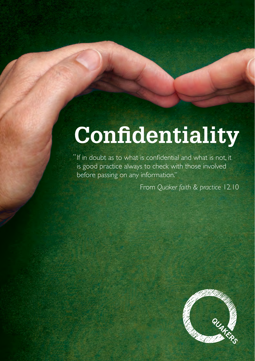# **Confidentiality**

" If in doubt as to what is confidential and what is not, it is good practice always to check with those involved before passing on any information."

From *Quaker faith & practice* 12.10

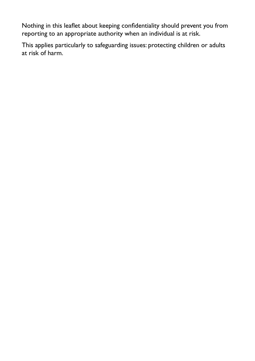Nothing in this leaflet about keeping confidentiality should prevent you from reporting to an appropriate authority when an individual is at risk.

This applies particularly to safeguarding issues: protecting children or adults at risk of harm.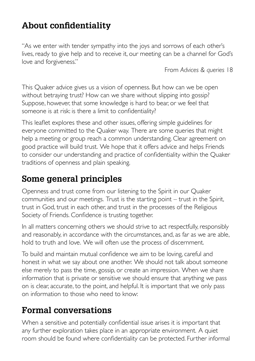#### **About confidentiality**

"As we enter with tender sympathy into the joys and sorrows of each other's lives, ready to give help and to receive it, our meeting can be a channel for God's love and forgiveness."

From *Advices & queries* 18

This Quaker advice gives us a vision of openness. But how can we be open without betraying trust? How can we share without slipping into gossip? Suppose, however, that some knowledge is hard to bear, or we feel that someone is at risk: is there a limit to confidentiality?

This leaflet explores these and other issues, offering simple guidelines for everyone committed to the Quaker way. There are some queries that might help a meeting or group reach a common understanding. Clear agreement on good practice will build trust. We hope that it offers advice and helps Friends to consider our understanding and practice of confidentiality within the Quaker traditions of openness and plain speaking.

## **Some general principles**

Openness and trust come from our listening to the Spirit in our Quaker communities and our meetings. Trust is the starting point – trust in the Spirit, trust in God, trust in each other, and trust in the processes of the Religious Society of Friends. Confidence is trusting together.

In all matters concerning others we should strive to act respectfully, responsibly and reasonably, in accordance with the circumstances, and, as far as we are able, hold to truth and love. We will often use the process of discernment.

To build and maintain mutual confidence we aim to be loving, careful and honest in what we say about one another. We should not talk about someone else merely to pass the time, gossip, or create an impression. When we share information that is private or sensitive we should ensure that anything we pass on is clear, accurate, to the point, and helpful. It is important that we only pass on information to those who need to know:

## **Formal conversations**

When a sensitive and potentially confidential issue arises it is important that any further exploration takes place in an appropriate environment. A quiet room should be found where confidentiality can be protected. Further informal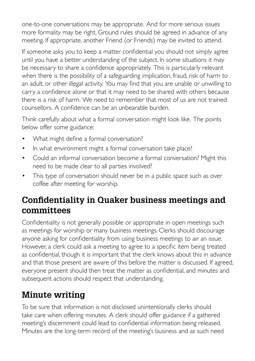one-to-one conversations may be appropriate. And for more serious issues more formality may be right. Ground rules should be agreed in advance of any meeting. If appropriate, another Friend (or Friends) may be invited to attend.

If someone asks you to keep a matter confidential you should not simply agree until you have a better understanding of the subject. In some situations it may be necessary to share a confidence appropriately. This is particularly relevant when there is the possibility of a safeguarding implication, fraud, risk of harm to an adult, or other illegal activity. You may find that you are unable or unwilling to carry a confidence alone or that it may need to be shared with others because there is a risk of harm. We need to remember that most of us are not trained counsellors. A confidence can be an unbearable burden.

Think carefully about what a formal conversation might look like. The points below offer some guidance:

- What might define a formal conversation?
- In what environment might a formal conversation take place?
- Could an informal conversation become a formal conversation? Might this need to be made clear to all parties involved?
- This type of conversation should never be in a public space such as over coffee after meeting for worship.

#### **Confidentiality in Quaker business meetings and committees**

Confidentiality is not generally possible or appropriate in open meetings such as meetings for worship or many business meetings. Clerks should discourage anyone asking for confidentiality from using business meetings to air an issue. However, a clerk could ask a meeting to agree to a specific item being treated as confidential, though it is important that the clerk knows about this in advance and that those present are aware of this before the matter is discussed. If agreed, everyone present should then treat the matter as confidential, and minutes and subsequent actions should respect that understanding.

## **Minute writing**

To be sure that information is not disclosed unintentionally clerks should take care when offering minutes. A clerk should offer guidance if a gathered meeting's discernment could lead to confidential information being released. Minutes are the long-term record of the meeting's business and as such need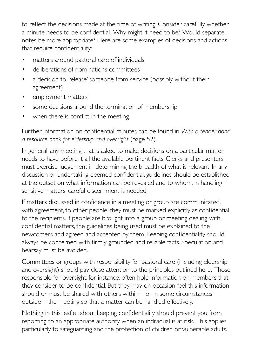to reflect the decisions made at the time of writing. Consider carefully whether a minute needs to be confidential. Why might it need to be? Would separate notes be more appropriate? Here are some examples of decisions and actions that require confidentiality:

- matters around pastoral care of individuals
- deliberations of nominations committees
- a decision to 'release' someone from service (possibly without their agreement)
- employment matters
- some decisions around the termination of membership
- when there is conflict in the meeting.

Further information on confidential minutes can be found in *With a tender hand: a resource book for eldership and oversight* (page 52).

In general, any meeting that is asked to make decisions on a particular matter needs to have before it all the available pertinent facts. Clerks and presenters must exercise judgement in determining the breadth of what is relevant. In any discussion or undertaking deemed confidential, guidelines should be established at the outset on what information can be revealed and to whom. In handling sensitive matters, careful discernment is needed.

If matters discussed in confidence in a meeting or group are communicated, with agreement, to other people, they must be marked explicitly as confidential to the recipients. If people are brought into a group or meeting dealing with confidential matters, the guidelines being used must be explained to the newcomers and agreed and accepted by them. Keeping confidentiality should always be concerned with firmly grounded and reliable facts. Speculation and hearsay must be avoided.

Committees or groups with responsibility for pastoral care (including eldership and oversight) should pay close attention to the principles outlined here. Those responsible for oversight, for instance, often hold information on members that they consider to be confidential. But they may on occasion feel this information should or must be shared with others within – or in some circumstances outside – the meeting so that a matter can be handled effectively.

Nothing in this leaflet about keeping confidentiality should prevent you from reporting to an appropriate authority when an individual is at risk. This applies particularly to safeguarding and the protection of children or vulnerable adults.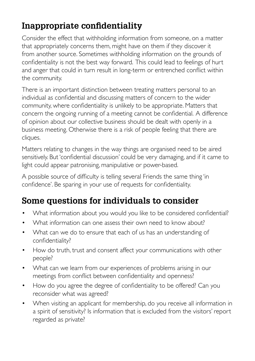## **Inappropriate confidentiality**

Consider the effect that withholding information from someone, on a matter that appropriately concerns them, might have on them if they discover it from another source. Sometimes withholding information on the grounds of confidentiality is not the best way forward. This could lead to feelings of hurt and anger that could in turn result in long-term or entrenched conflict within the community.

There is an important distinction between treating matters personal to an individual as confidential and discussing matters of concern to the wider community, where confidentiality is unlikely to be appropriate. Matters that concern the ongoing running of a meeting cannot be confidential. A difference of opinion about our collective business should be dealt with openly in a business meeting. Otherwise there is a risk of people feeling that there are cliques.

Matters relating to changes in the way things are organised need to be aired sensitively. But 'confidential discussion' could be very damaging, and if it came to light could appear patronising, manipulative or power-based.

A possible source of difficulty is telling several Friends the same thing 'in confidence'. Be sparing in your use of requests for confidentiality.

## **Some questions for individuals to consider**

- What information about you would you like to be considered confidential?
- What information can one assess their own need to know about?
- What can we do to ensure that each of us has an understanding of confidentiality?
- How do truth, trust and consent affect your communications with other people?
- What can we learn from our experiences of problems arising in our meetings from conflict between confidentiality and openness?
- How do you agree the degree of confidentiality to be offered? Can you reconsider what was agreed?
- When visiting an applicant for membership, do you receive all information in a spirit of sensitivity? Is information that is excluded from the visitors' report regarded as private?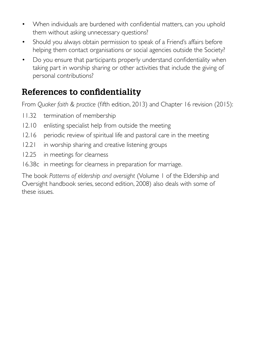- When individuals are burdened with confidential matters, can you uphold them without asking unnecessary questions?
- Should you always obtain permission to speak of a Friend's affairs before helping them contact organisations or social agencies outside the Society?
- Do you ensure that participants properly understand confidentiality when taking part in worship sharing or other activities that include the giving of personal contributions?

## **References to confidentiality**

From *Quaker faith & practice* (fifth edition, 2013) and Chapter 16 revision (2015):

- 11.32 termination of membership
- 12.10 enlisting specialist help from outside the meeting
- 12.16 periodic review of spiritual life and pastoral care in the meeting
- 12.21 in worship sharing and creative listening groups
- 12.25 in meetings for clearness
- 16.38c in meetings for clearness in preparation for marriage.

The book *Patterns of eldership and oversight* (Volume 1 of the Eldership and Oversight handbook series, second edition, 2008) also deals with some of these issues.